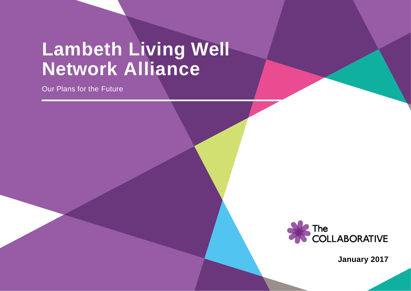# **Lambeth Living Well Network Alliance**

Our Plans for the Future



**January 2017**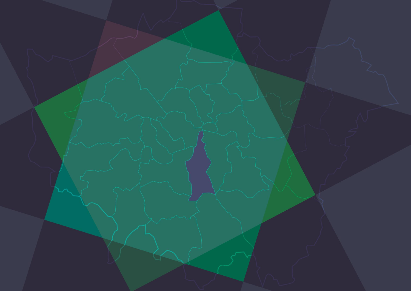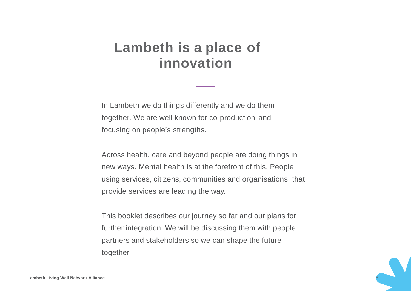## **Lambeth is a place of innovation**

In Lambeth we do things differently and we do them together. We are well known for co-production and focusing on people's strengths.

Across health, care and beyond people are doing things in new ways. Mental health is at the forefront of this. People using services, citizens, communities and organisations that provide services are leading the way.

This booklet describes our journey so far and our plans for further integration. We will be discussing them with people, partners and stakeholders so we can shape the future together.

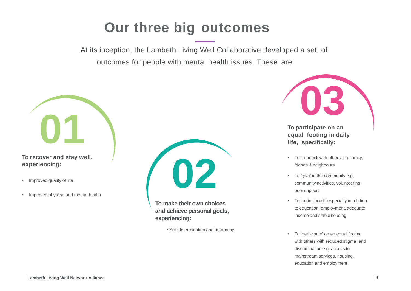## **Our three big outcomes**

At its inception, the Lambeth Living Well Collaborative developed a set of outcomes for people with mental health issues. These are:



## **To recover and stay well,**

- Improved quality of life
- Improved physical and mental health



**and achieve personal goals, experiencing:**

• Self-determination and autonomy



**To participate on an equal footing in daily life, specifically:**

- To 'connect' with others e.g. family, friends & neighbours
- To 'give' in the community e.g. community activities, volunteering, peer support
- To 'be included', especially in relation to education, employment, adequate income and stable housing
- To 'participate' on an equal footing with others with reduced stigma and discrimination e.g. access to mainstream services, housing, education and employment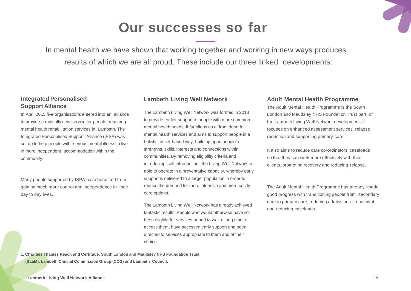## **Our successes so far**

In mental health we have shown that working together and working in new ways produces results of which we are all proud. These include our three linked developments:

## **Integrated Personalised Support Alliance**

In April 2015 five organisations entered into an alliance to provide a radically new service for people requiring mental health rehabilitation services in Lambeth. The Integrated Personalised Support Alliance (IPSA) was set up to help people with serious mental illness to live in more independent accommodation within the community.

Many people supported by ISPA have benefited from gaining much more control and independence in their day to day lives.

## **Lambeth Living Well Network**

The Lambeth Living Well Network was formed in 2013 to provide earlier support to people with more common mental health needs. It functions as a 'front door' to mental health services and aims to support people in a holistic, asset-based way, building upon people's strengths, skills, interests and connections within communities. By removing eligibility criteria and introducing 'self introduction', the Living Well Network is able to operate in a preventative capacity, whereby early support is delivered to a larger population in order to reduce the demand for more intensive and more costly care options.

The Lambeth Living Well Network has already achieved fantastic results. People who would otherwise have not been eligible for services or had to wait a long time to access them, have accessed early support and been directed to services appropriate to them and of their choice.

### **Adult Mental Health Programme**

The Adult Mental Health Programme is the South London and Maudsley NHS Foundation Trust part of the Lambeth Living Well Network development. It focuses on enhanced assessment services, relapse reduction and supporting primary care.

It also aims to reduce care co-ordinators' caseloads so that they can work more effectively with their clients, promoting recovery and reducing relapse.

The Adult Mental Health Programme has already made good progress with transitioning people from secondary care to primary care, reducing admissions to hospital and reducing caseloads.

**1. Charities Thames Reach and Certitude, South London and Maudsley NHS Foundation Trust (SLaM), Lambeth Clincial Commission Group (CCG) and Lambeth Council.**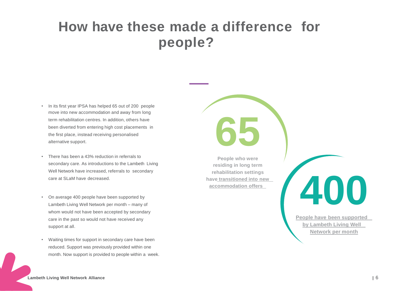## **How have these made a difference for people?**

- In its first year IPSA has helped 65 out of 200 people move into new accommodation and away from long term rehabilitation centres. In addition, others have been diverted from entering high cost placements in the first place, instead receiving personalised alternative support.
- There has been a 43% reduction in referrals to secondary care. As introductions to the Lambeth Living Well Network have increased, referrals to secondary care at SLaM have decreased.
- On average 400 people have been supported by Lambeth Living Well Network per month – many of whom would not have been accepted by secondary care in the past so would not have received any support at all.
- Waiting times for support in secondary care have been reduced. Support was previously provided within one month. Now support is provided to people within a week.

**65**

**accommodation offers People who were residing in long term rehabilitation settings have transitioned into new**

**400**

**People have been supported by Lambeth Living Well Network per month**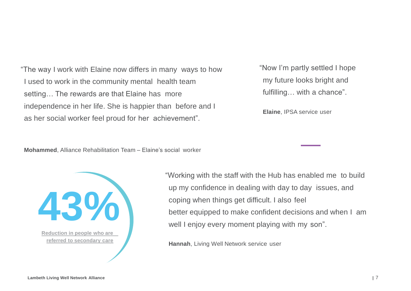"The way I work with Elaine now differs in many ways to how I used to work in the community mental health team setting… The rewards are that Elaine has more independence in her life. She is happier than before and I as her social worker feel proud for her achievement".

"Now I'm partly settled I hope my future looks bright and fulfilling… with a chance".

**Elaine**, IPSA service user

**Mohammed**, Alliance Rehabilitation Team – Elaine's social worker



"Working with the staff with the Hub has enabled me to build up my confidence in dealing with day to day issues, and coping when things get difficult. I also feel better equipped to make confident decisions and when I am well I enjoy every moment playing with my son".

**Hannah**, Living Well Network service user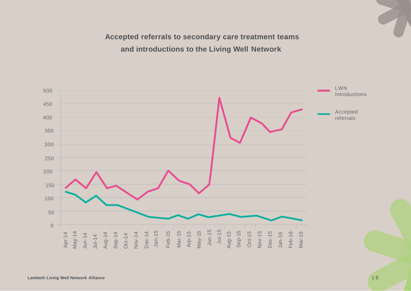**Accepted referrals to secondary care treatment teams and introductions to the Living Well Network**

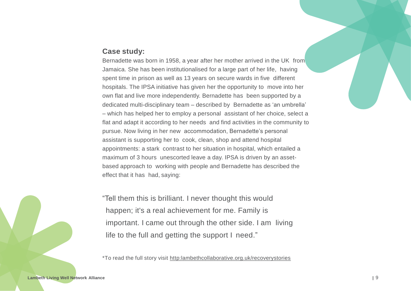## **Case study:**

Bernadette was born in 1958, a year after her mother arrived in the UK from Jamaica. She has been institutionalised for a large part of her life, having spent time in prison as well as 13 years on secure wards in five different hospitals. The IPSA initiative has given her the opportunity to move into her own flat and live more independently. Bernadette has been supported by a dedicated multi-disciplinary team – described by Bernadette as 'an umbrella' – which has helped her to employ a personal assistant of her choice, select a flat and adapt it according to her needs and find activities in the community to pursue. Now living in her new accommodation, Bernadette's personal assistant is supporting her to cook, clean, shop and attend hospital appointments: a stark contrast to her situation in hospital, which entailed a maximum of 3 hours unescorted leave a day. IPSA is driven by an assetbased approach to working with people and Bernadette has described the effect that it has had, saying:

"Tell them this is brilliant. I never thought this would happen; it's a real achievement for me. Family is important. I came out through the other side. I am living life to the full and getting the support I need."

\*To read the full story visit <http:lambethcollaborative.org.uk/recoverystories>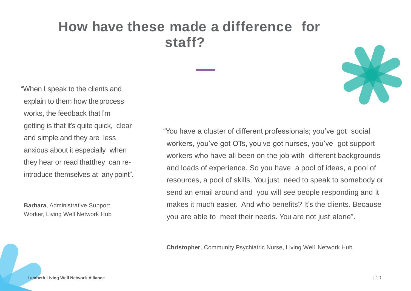## **How have these made a difference for staff?**

"When I speak to the clients and explain to them how theprocess works, the feedback that I'm getting is that it's quite quick, clear and simple and they are less anxious about it especially when they hear or read thatthey can reintroduce themselves at any point".

**Barbara**, Administrative Support Worker, Living Well Network Hub



"You have a cluster of different professionals; you've got social workers, you've got OTs, you've got nurses, you've got support workers who have all been on the job with different backgrounds and loads of experience. So you have a pool of ideas, a pool of resources, a pool of skills. You just need to speak to somebody or send an email around and you will see people responding and it makes it much easier. And who benefits? It's the clients. Because you are able to meet their needs. You are not just alone".

**Christopher**, Community Psychiatric Nurse, Living Well Network Hub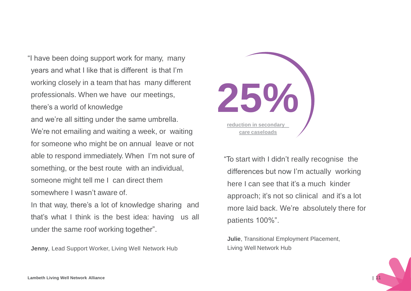"I have been doing support work for many, many years and what I like that is different is that I'm working closely in a team that has many different professionals. When we have our meetings, there's a world of knowledge

and we're all sitting under the same umbrella. We're not emailing and waiting a week, or waiting for someone who might be on annual leave or not able to respond immediately. When I'm not sure of something, or the best route with an individual, someone might tell me I can direct them somewhere I wasn't aware of.

In that way, there's a lot of knowledge sharing and that's what I think is the best idea: having us all under the same roof working together".

**Jenny**, Lead Support Worker, Living Well Network Hub



"To start with I didn't really recognise the differences but now I'm actually working here I can see that it's a much kinder approach; it's not so clinical and it's a lot more laid back. We're absolutely there for patients 100%".

**Julie**, Transitional Employment Placement, Living Well Network Hub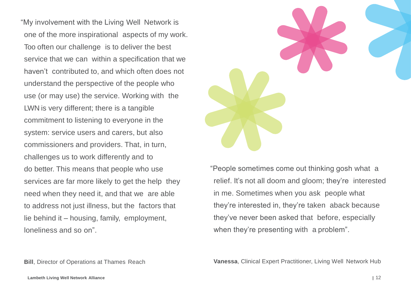"My involvement with the Living Well Network is one of the more inspirational aspects of my work. Too often our challenge is to deliver the best service that we can within a specification that we haven't contributed to, and which often does not understand the perspective of the people who use (or may use) the service. Working with the LWN is very different; there is a tangible commitment to listening to everyone in the system: service users and carers, but also commissioners and providers. That, in turn, challenges us to work differently and to do better. This means that people who use services are far more likely to get the help they need when they need it, and that we are able to address not just illness, but the factors that lie behind it – housing, family, employment, loneliness and so on".



"People sometimes come out thinking gosh what a relief. It's not all doom and gloom; they're interested in me. Sometimes when you ask people what they're interested in, they're taken aback because they've never been asked that before, especially when they're presenting with a problem".

**Vanessa**, Clinical Expert Practitioner, Living Well Network Hub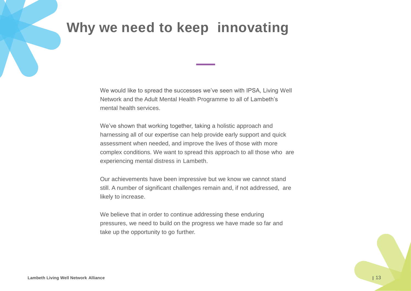## **Why we need to keep innovating**

We would like to spread the successes we've seen with IPSA, Living Well Network and the Adult Mental Health Programme to all of Lambeth's mental health services.

We've shown that working together, taking a holistic approach and harnessing all of our expertise can help provide early support and quick assessment when needed, and improve the lives of those with more complex conditions. We want to spread this approach to all those who are experiencing mental distress in Lambeth.

Our achievements have been impressive but we know we cannot stand still. A number of significant challenges remain and, if not addressed, are likely to increase.

We believe that in order to continue addressing these enduring pressures, we need to build on the progress we have made so far and take up the opportunity to go further.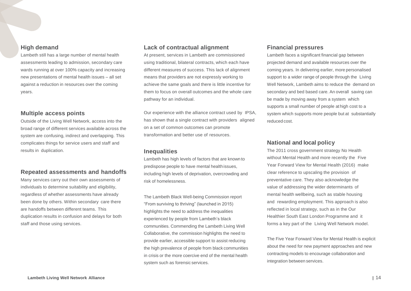## **High demand**

Lambeth still has a large number of mental health assessments leading to admission, secondary care wards running at over 100% capacity and increasing new presentations of mental health issues – all set against a reduction in resources over the coming years.

### **Multiple access points**

Outside of the Living Well Network, access into the broad range of different services available across the system are confusing, indirect and overlapping. This complicates things for service users and staff and results in duplication.

### **Repeated assessments and handoffs**

Many services carry out their own assessments of individuals to determine suitability and eligibility, regardless of whether assessments have already been done by others. Within secondary care there are handoffs between different teams. This duplication results in confusion and delays for both staff and those using services.

### **Lack of contractual alignment**

At present, services in Lambeth are commissioned using traditional, bilateral contracts, which each have different measures of success. This lack of alignment means that providers are not expressly working to achieve the same goals and there is little incentive for them to focus on overall outcomes and the whole care pathway for an individual.

Our experience with the alliance contract used by IPSA, has shown that a single contract with providers aligned on a set of common outcomes can promote transformation and better use of resources.

### **Inequalities**

Lambeth has high levels of factors that are known to predispose people to have mental health issues, including high levels of deprivation, overcrowding and risk of homelessness.

The Lambeth Black Well-being Commission report "From surviving to thriving" (launched in 2015) highlights the need to address the inequalities experienced by people from Lambeth's black communities. Commending the Lambeth Living Well Collaborative, the commission highlights the need to provide earlier, accessible support to assist reducing the high prevalence of people from black communities in crisis or the more coercive end of the mental health system such as forensic services.

### **Financial pressures**

Lambeth faces a significant financial gap between projected demand and available resources over the coming years. In delivering earlier, more personalised support to a wider range of people through the Living Well Network, Lambeth aims to reduce the demand on secondary and bed based care. An overall saving can be made by moving away from a system which supports a small number of people athigh cost to a system which supports more people but at substantially reduced cost.

### **National and local policy**

The 2011 cross government strategy No Health without Mental Health and more recently the Five Year Forward View for Mental Health (2016) make clear reference to upscaling the provision of preventative care. They also acknowledge the value of addressing the wider determinants of mental health wellbeing, such as stable housing and rewarding employment. This approach is also reflected in local strategy, such as in the Our Healthier South East London Programme and it forms a key part of the Living Well Network model.

The Five Year Forward View for Mental Health is explicit about the need for new payment approaches and new contracting models to encourage collaboration and integration between services.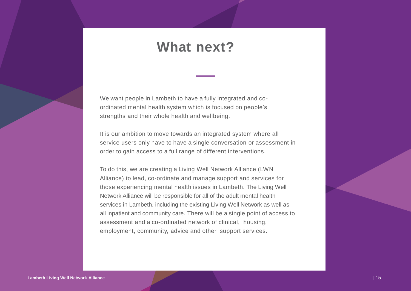## **What next?**

We want people in Lambeth to have a fully integrated and coordinated mental health system which is focused on people's strengths and their whole health and wellbeing.

It is our ambition to move towards an integrated system where all service users only have to have a single conversation or assessment in order to gain access to a full range of different interventions.

To do this, we are creating a Living Well Network Alliance (LWN Alliance) to lead, co-ordinate and manage support and services for those experiencing mental health issues in Lambeth. The Living Well Network Alliance will be responsible for all of the adult mental health services in Lambeth, including the existing Living Well Network as well as all inpatient and community care. There will be a single point of access to assessment and a co-ordinated network of clinical, housing, employment, community, advice and other support services.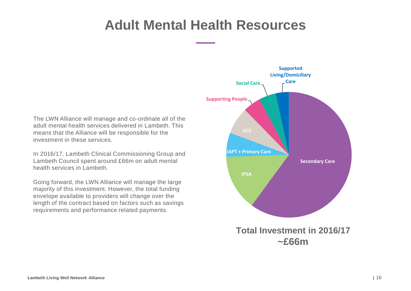## **Adult Mental Health Resources**

The LWN Alliance will manage and co-ordinate all of the adult mental health services delivered in Lambeth. This means that the Alliance will be responsible for the investment in these services.

In 2016/17, Lambeth Clinical Commissioning Group and Lambeth Council spent around £66m on adult mental health services in Lambeth.

Going forward, the LWN Alliance will manage the large majority of this investment. However, the total funding envelope available to providers will change over the length of the contract based on factors such as savings requirements and performance related payments.

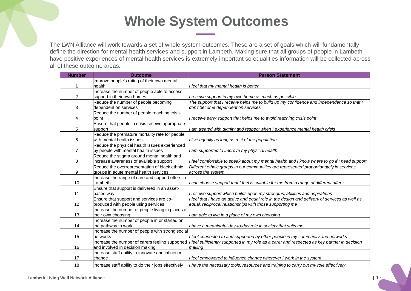## **Whole System Outcomes**

The LWN Alliance will work towards a set of whole system outcomes. These are a set of goals which will fundamentally define the direction for mental health services and support in Lambeth. Making sure that all groups of people in Lambeth have positive experiences of mental health services is extremely important so equalities information will be collected across all of these outcome areas.

| <b>Number</b>  | <b>Outcome</b>                                      | <b>Person Statement</b>                                                                       |
|----------------|-----------------------------------------------------|-----------------------------------------------------------------------------------------------|
|                | Improve people's rating of their own mental         |                                                                                               |
|                | health                                              | I feel that my mental health is better                                                        |
|                | Increase the number of people able to access        |                                                                                               |
| $\overline{2}$ | support in their own homes                          | I receive support in my own home as much as possible                                          |
|                | Reduce the number of people becoming                | The support that I receive helps me to build up my confidence and independence so that I      |
| 3              | dependent on services                               | don't become dependent on services                                                            |
|                | Reduce the number of people reaching crisis         |                                                                                               |
| 4              | point                                               | I receive early support that helps me to avoid reaching crisis point                          |
|                | Ensure that people in crisis receive appropriate    |                                                                                               |
| 5              | support                                             | I am treated with dignity and respect when I experience mental health crisis                  |
|                | Reduce the premature mortality rate for people      |                                                                                               |
| 6              | with mental health issues                           | I live equally as long as rest of the population                                              |
|                | Reduce the physical health issues experienced       |                                                                                               |
| $\overline{7}$ | by people with mental health issues                 | I am supported to improve my physical health                                                  |
|                | Reduce the stigma around mental health and          |                                                                                               |
| 8              | increase awareness of available support             | I feel comfortable to speak about my mental health and I know where to go if I need support   |
|                | Reduce the overrepresentation of black ethnic       | Different ethnic groups in our communities are represented proportionately in services        |
| 9              | groups in acute mental health services              | across the system                                                                             |
|                | Increase the range of care and support offers in    |                                                                                               |
| 10             | Lambeth                                             | I can choose support that I feel is suitable for me from a range of different offers          |
|                | Ensure that support is delivered in an asset-       |                                                                                               |
| 11             | based way                                           | I receive support which builds upon my strengths, abilities and aspirations                   |
|                | Ensure that support and services are co-            | I feel that I have an active and equal role in the design and delivery of services as well as |
| 12             | produced with people using services                 | equal, reciprocal relationships with those supporting me                                      |
|                | Increase the number of people living in places of   |                                                                                               |
| 13             | their own choosing                                  | I am able to live in a place of my own choosing                                               |
|                | Increase the number of people in or started on      |                                                                                               |
| 14             | the pathway to work                                 | I have a meaningful day-to-day role in society that suits me                                  |
|                | Increase the number of people with strong social    |                                                                                               |
| 15             | hetworks                                            | I feel connected to and supported by other people in my community and networks                |
|                | Increase the number of carers feeling supported     | I feel sufficiently supported in my role as a carer and respected as key partner in decision  |
| 16             | and involved in decision making                     | making                                                                                        |
|                | Increase staff ability to innovate and influence    |                                                                                               |
| 17             | change                                              | I feel empowered to influence change wherever I work in the system                            |
| 18             | Increase staff ability to do their jobs effectively | I have the necessary tools, resources and training to carry out my role effectively           |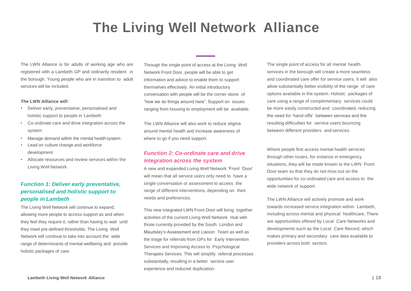## **The Living Well Network Alliance**

The LWN Alliance is for adults of working age who are registered with a Lambeth GP and ordinarily resident in the borough. Young people who are in transition to adult services will be included.

#### *The LWN Alliance will:*

- Deliver early, preventative, personalised and holistic support to people in Lambeth
- Co-ordinate care and drive integration across the system
- Manage demand within the mental health system
- Lead on culture change and workforce development
- Allocate resources and review services within the Living Well Network

## *Function 1: Deliver early preventative, personalised and holistic support to people in Lambeth*

The Living Well Network will continue to expand, allowing more people to access support as and when they feel they require it, rather than having to wait until they meet pre-defined thresholds. The Living Well Network will continue to take into account the wide range of determinants of mental wellbeing and provide holistic packages of care.

Through the single point of access at the Living Well Network Front Door, people will be able to get information and advice to enable them to support themselves effectively. An initial introductory conversation with people will be the corner stone of "how we do things around here". Support on issues ranging from housing to employment will be available.

The LWN Alliance will also work to reduce stigma around mental health and increase awareness of where to go if you need support.

### *Function 2: Co-ordinate care and drive integration across the system*

A new and expanded Living Well Network 'Front Door' will mean that all service users only need to have a single conversation or assessment to access the range of different interventions, depending on their needs and preferences.

This new integrated LWN Front Door will bring together activities of the current Living Well Network Hub with those currently provided by the South London and Maudsley's Assessment and Liaison Team as well as the triage for referrals from GPs for Early Intervention Services and Improving Access to Psychological Therapies Services. This will simplify referral processes substantially, resulting in a better service user experience and reduced duplication.

The single point of access for all mental health services in the borough will create a more seamless and coordinated care offer for service users. It will also allow substantially better visibility of the range of care options available in the system. Holistic packages of care using a range of complementary services could be more easily constructed and coordinated, reducing the need for 'hand-offs' between services and the resulting difficulties for service users bouncing between different providers and services.

Where people first access mental health services through other routes, for instance in emergency situations, they will be made known to the LWN Front Door team so that they do not miss out on the opportunities for co-ordinated care and access to the wide network of support.

The LWN Alliance will actively promote and work towards increased service integration within Lambeth, including across mental and physical healthcare. There are opportunities offered by Local Care Networks and developments such as the Local Care Record, which makes primary and secondary care data available to providers across both sectors.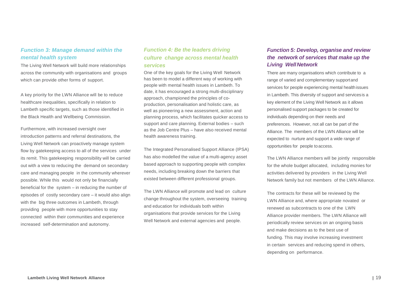### *Function 3: Manage demand within the mental health system*

The Living Well Network will build more relationships across the community with organisations and groups which can provide other forms of support.

A key priority for the LWN Alliance will be to reduce healthcare inequalities, specifically in relation to Lambeth specific targets, such as those identified in the Black Health and Wellbeing Commission.

Furthermore, with increased oversight over introduction patterns and referral destinations, the Living Well Network can proactively manage system flow by gatekeeping access to all of the services under its remit. This gatekeeping responsibility will be carried out with a view to reducing the demand on secondary care and managing people in the community wherever possible. While this would not only be financially beneficial for the system – in reducing the number of episodes of costly secondary care – it would also align with the big three outcomes in Lambeth, through providing people with more opportunities to stay connected within their communities and experience increased self-determination and autonomy.

## *Function 4: Be the leaders driving culture change across mental health services*

One of the key goals for the Living Well Network has been to model a different way of working with people with mental health issues in Lambeth. To date, it has encouraged a strong multi-disciplinary approach, championed the principles of coproduction, personalisation and holistic care, as well as pioneering a new assessment, action and planning process, which facilitates quicker access to support and care planning. External bodies – such as the Job Centre Plus – have also received mental health awareness training.

The Integrated Personalised Support Alliance (IPSA) has also modelled the value of a multi-agency asset based approach to supporting people with complex needs, including breaking down the barriers that existed between different professional groups.

The LWN Alliance will promote and lead on culture change throughout the system, overseeing training and education for individuals both within organisations that provide services for the Living Well Network and external agencies and people.

## *Function 5: Develop, organise and review the network of services that make up the Living WellNetwork*

There are many organisations which contribute to a range of varied and complementary supportand services for people experiencing mental healthissues in Lambeth. This diversity of support and servicesis a key element of the Living Well Network as it allows personalised support packages to be created for individuals depending on their needs and preferences. However, not all can be part of the Alliance. The members of the LWN Alliance will be expected to nurture and support a wide range of opportunities for people toaccess.

The LWN Alliance members will be jointly responsible for the whole budget allocated, including monies for activities delivered by providers in the Living Well Network family but not members of the LWN Alliance.

The contracts for these will be reviewed by the LWN Alliance and, where appropriate novated or renewed as subcontracts to one of the LWN Alliance provider members. The LWN Alliance will periodically review services on an ongoing basis and make decisions as to the best use of funding. This may involve increasing investment in certain services and reducing spend in others, depending on performance.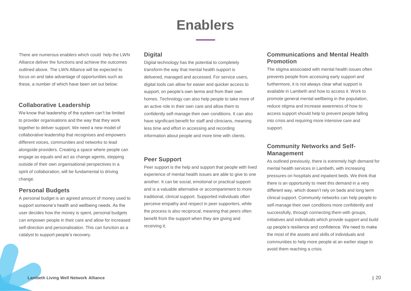## **Enablers**

There are numerous enablers which could help the LWN Alliance deliver the functions and achieve the outcomes outlined above. The LWN Alliance will be expected to focus on and take advantage of opportunities such as these, a number of which have been set out below:

### **Collaborative Leadership**

We know that leadership of the system can't be limited to provider organisations and the way that they work together to deliver support. We need a new model of collaborative leadership that recognises and empowers different voices, communities and networks to lead alongside providers. Creating a space where people can engage as equals and act as change agents, stepping outside of their own organisational perspectives in a spirit of collaboration, will be fundamental to driving change.

### **Personal Budgets**

A personal budget is an agreed amount of money used to support someone's health and wellbeing needs. As the user decides how the money is spent, personal budgets can empower people in their care and allow for increased self-direction and personalisation. This can function as a catalyst to support people's recovery.

## **Digital**

Digital technology has the potential to completely transform the way that mental health support is delivered, managed and accessed. For service users, digital tools can allow for easier and quicker access to support, on people's own terms and from their own homes. Technology can also help people to take more of an active role in their own care and allow them to confidently self-manage their own conditions. It can also have significant benefit for staff and clinicians, meaning less time and effort in accessing and recording information about people and more time with clients.

## **Peer Support**

Peer support is the help and support that people with lived experience of mental health issues are able to give to one another. It can be social, emotional or practical support and is a valuable alternative or accompaniment to more traditional, clinical support. Supported individuals often perceive empathy and respect in peer supporters, while the process is also reciprocal, meaning that peers often benefit from the support when they are giving and receiving it.

## **Communications and Mental Health Promotion**

The stigma associated with mental health issues often prevents people from accessing early support and furthermore, it is not always clear what support is available in Lambeth and how to access it. Work to promote general mental wellbeing in the population, reduce stigma and increase awareness of how to access support should help to prevent people falling into crisis and requiring more intensive care and support.

## **Community Networks and Self-Management**

As outlined previously, there is extremely high demand for mental health services in Lambeth, with increasing pressures on hospitals and inpatient beds. We think that there is an opportunity to meet this demand in a very different way, which doesn't rely on beds and long term clinical support. Community networks can help people to self-manage their own conditions more confidently and successfully, through connecting them with groups, initiatives and individuals which provide support and build up people's resilience and confidence. We need to make the most of the assets and skills of individuals and communities to help more people at an earlier stage to avoid them reaching a crisis.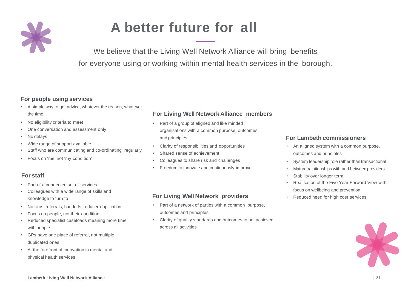

## **A better future for all**

We believe that the Living Well Network Alliance will bring benefits for everyone using or working within mental health services in the borough.

## **For people using services**

- A simple way to get advice, whatever the reason, whatever the time
- No eligibility criteria to meet
- One conversation and assessment only
- No delays
- Wide range of support available
- Staff who are communicating and co-ordinating regularly
- Focus on 'me' not 'my condition'

## **For staff**

- Part of a connected set of services
- Colleagues with a wide range of skills and knowledge to turn to
- No silos, referrals, handoffs; reduced duplication
- Focus on people, not their condition
- Reduced specialist caseloads meaning more time with people
- GPs have one place of referral, not multiple duplicated ones
- At the forefront of innovation in mental and physical health services

## **For Living Well Network Alliance members**

- Part of a group of aligned and like minded organisations with a common purpose, outcomes and principles
- Clarity of responsibilities and opportunities
- Shared sense of achievement
- Colleagues to share risk and challenges
- Freedom to innovate and continuously improve

## **For Lambeth commissioners**

- An aligned system with a common purpose, outcomes and principles
- System leadership role rather than transactional
- Mature relationships with and between providers
- Stability over longer term
- Realisation of the Five Year Forward View with focus on wellbeing and prevention
- Reduced need for high cost services

## **For Living Well Network providers**

- Part of a network of parties with a common purpose, outcomes and principles
- Clarity of quality standards and outcomes to be achieved across all activities

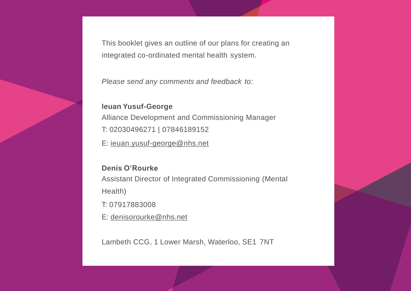This booklet gives an outline of our plans for creating an integrated co-ordinated mental health system.

*Please send any comments and feedback to:*

**Ieuan Yusuf-George** Alliance Development and Commissioning Manager T: 02030496271 | 07846189152

E: [ieuan.yusuf-george@nhs.net](mailto:ieuan.yusuf-george@nhs.net)

**Denis O'Rourke** Assistant Director of Integrated Commissioning (Mental Health)

T: 07917883008

E: [denisorourke@nhs.net](mailto:denisorourke@nhs.net)

Lambeth CCG, 1 Lower Marsh, Waterloo, SE1 7NT